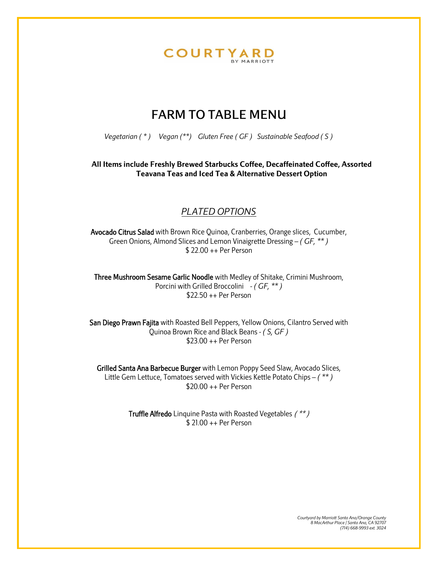

### FARM TO TABLE MENU

*Vegetarian ( \* ) Vegan (\*\*) Gluten Free ( GF ) Sustainable Seafood ( S )*

**All Items include Freshly Brewed Starbucks Coffee, Decaffeinated Coffee, Assorted Teavana Teas and Iced Tea & Alternative Dessert Option**

### *PLATED OPTIONS*

Avocado Citrus Salad with Brown Rice Quinoa, Cranberries, Orange slices, Cucumber, Green Onions, Almond Slices and Lemon Vinaigrette Dressing – *( GF, \*\* )* \$ 22.00 ++ Per Person

Three Mushroom Sesame Garlic Noodle with Medley of Shitake, Crimini Mushroom, Porcini with Grilled Broccolini - *( GF, \*\* )* \$22.50 ++ Per Person

San Diego Prawn Fajita with Roasted Bell Peppers, Yellow Onions, Cilantro Served with Quinoa Brown Rice and Black Beans - *( S, GF )* \$23.00 ++ Per Person

Grilled Santa Ana Barbecue Burger with Lemon Poppy Seed Slaw, Avocado Slices, Little Gem Lettuce, Tomatoes served with Vickies Kettle Potato Chips – *( \*\* )* \$20.00 ++ Per Person

> Truffle Alfredo Linquine Pasta with Roasted Vegetables ( \*\* ) \$ 21.00 ++ Per Person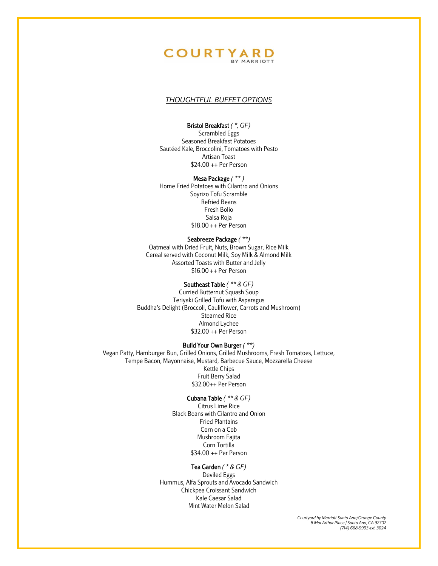#### **COURTYARD** BY MARRIOTT

#### *THOUGHTFUL BUFFET OPTIONS*

#### Bristol Breakfast *( \*, GF)*

Scrambled Eggs Seasoned Breakfast Potatoes Sautéed Kale, Broccolini, Tomatoes with Pesto Artisan Toast \$24.00 ++ Per Person

Mesa Package *( \*\* )* Home Fried Potatoes with Cilantro and Onions Soyrizo Tofu Scramble Refried Beans Fresh Bolio Salsa Roja \$18.00 ++ Per Person

Seabreeze Package *( \*\*)* Oatmeal with Dried Fruit, Nuts, Brown Sugar, Rice Milk Cereal served with Coconut Milk, Soy Milk & Almond Milk Assorted Toasts with Butter and Jelly \$16.00 ++ Per Person

#### Southeast Table *( \*\* & GF)*

Curried Butternut Squash Soup Teriyaki Grilled Tofu with Asparagus Buddha's Delight (Broccoli, Cauliflower, Carrots and Mushroom) Steamed Rice Almond Lychee \$32.00 ++ Per Person

#### Build Your Own Burger *( \*\*)*

Vegan Patty, Hamburger Bun, Grilled Onions, Grilled Mushrooms, Fresh Tomatoes, Lettuce, Tempe Bacon, Mayonnaise, Mustard, Barbecue Sauce, Mozzarella Cheese Kettle Chips Fruit Berry Salad \$32.00++ Per Person

#### Cubana Table *( \*\* & GF)*

Citrus Lime Rice Black Beans with Cilantro and Onion Fried Plantains Corn on a Cob Mushroom Fajita Corn Tortilla \$34.00 ++ Per Person

#### Tea Garden *( \* & GF)*

Deviled Eggs Hummus, Alfa Sprouts and Avocado Sandwich Chickpea Croissant Sandwich Kale Caesar Salad Mint Water Melon Salad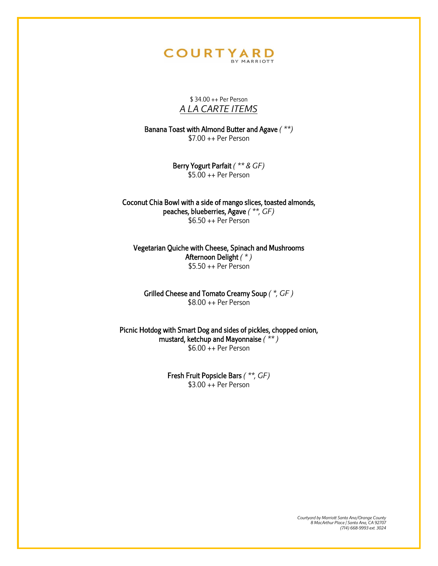# **COURTYARD**

\$ 34.00 ++ Per Person *A LA CARTE ITEMS*

Banana Toast with Almond Butter and Agave *( \*\*)* \$7.00 ++ Per Person

> Berry Yogurt Parfait *( \*\* & GF)* \$5.00 ++ Per Person

Coconut Chia Bowl with a side of mango slices, toasted almonds, peaches, blueberries, Agave *( \*\*, GF)* \$6.50 ++ Per Person

Vegetarian Quiche with Cheese, Spinach and Mushrooms Afternoon Delight *( \* )*  $$5.50 + +$  Per Person

Grilled Cheese and Tomato Creamy Soup *( \*, GF )* \$8.00 ++ Per Person

Picnic Hotdog with Smart Dog and sides of pickles, chopped onion, mustard, ketchup and Mayonnaise *( \*\* )* \$6.00 ++ Per Person

> Fresh Fruit Popsicle Bars *( \*\*, GF)* \$3.00 ++ Per Person